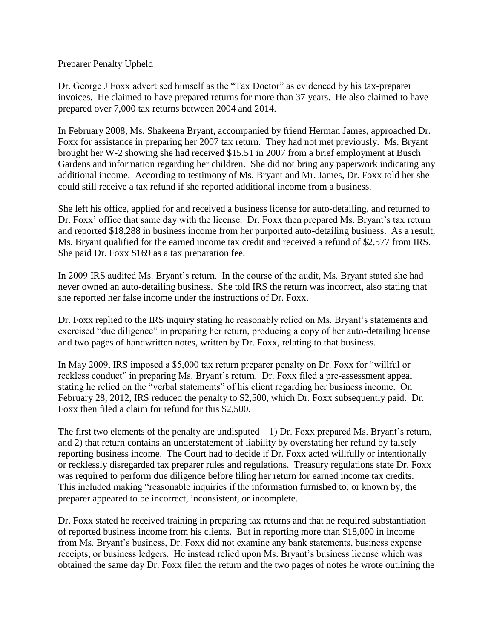## Preparer Penalty Upheld

Dr. George J Foxx advertised himself as the "Tax Doctor" as evidenced by his tax-preparer invoices. He claimed to have prepared returns for more than 37 years. He also claimed to have prepared over 7,000 tax returns between 2004 and 2014.

In February 2008, Ms. Shakeena Bryant, accompanied by friend Herman James, approached Dr. Foxx for assistance in preparing her 2007 tax return. They had not met previously. Ms. Bryant brought her W-2 showing she had received \$15.51 in 2007 from a brief employment at Busch Gardens and information regarding her children. She did not bring any paperwork indicating any additional income. According to testimony of Ms. Bryant and Mr. James, Dr. Foxx told her she could still receive a tax refund if she reported additional income from a business.

She left his office, applied for and received a business license for auto-detailing, and returned to Dr. Foxx' office that same day with the license. Dr. Foxx then prepared Ms. Bryant's tax return and reported \$18,288 in business income from her purported auto-detailing business. As a result, Ms. Bryant qualified for the earned income tax credit and received a refund of \$2,577 from IRS. She paid Dr. Foxx \$169 as a tax preparation fee.

In 2009 IRS audited Ms. Bryant's return. In the course of the audit, Ms. Bryant stated she had never owned an auto-detailing business. She told IRS the return was incorrect, also stating that she reported her false income under the instructions of Dr. Foxx.

Dr. Foxx replied to the IRS inquiry stating he reasonably relied on Ms. Bryant's statements and exercised "due diligence" in preparing her return, producing a copy of her auto-detailing license and two pages of handwritten notes, written by Dr. Foxx, relating to that business.

In May 2009, IRS imposed a \$5,000 tax return preparer penalty on Dr. Foxx for "willful or reckless conduct" in preparing Ms. Bryant's return. Dr. Foxx filed a pre-assessment appeal stating he relied on the "verbal statements" of his client regarding her business income. On February 28, 2012, IRS reduced the penalty to \$2,500, which Dr. Foxx subsequently paid. Dr. Foxx then filed a claim for refund for this \$2,500.

The first two elements of the penalty are undisputed  $-1$ ) Dr. Foxx prepared Ms. Bryant's return, and 2) that return contains an understatement of liability by overstating her refund by falsely reporting business income. The Court had to decide if Dr. Foxx acted willfully or intentionally or recklessly disregarded tax preparer rules and regulations. Treasury regulations state Dr. Foxx was required to perform due diligence before filing her return for earned income tax credits. This included making "reasonable inquiries if the information furnished to, or known by, the preparer appeared to be incorrect, inconsistent, or incomplete.

Dr. Foxx stated he received training in preparing tax returns and that he required substantiation of reported business income from his clients. But in reporting more than \$18,000 in income from Ms. Bryant's business, Dr. Foxx did not examine any bank statements, business expense receipts, or business ledgers. He instead relied upon Ms. Bryant's business license which was obtained the same day Dr. Foxx filed the return and the two pages of notes he wrote outlining the